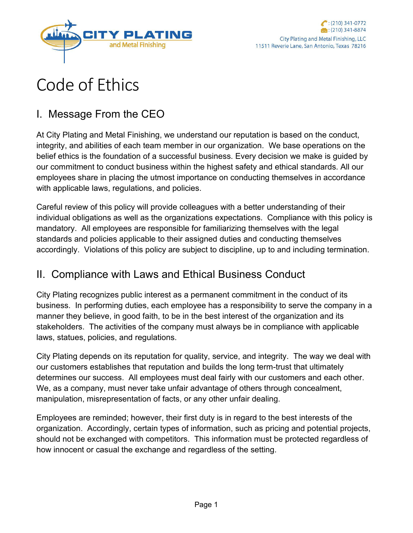

# Code of Ethics

# I. Message From the CEO

At City Plating and Metal Finishing, we understand our reputation is based on the conduct, integrity, and abilities of each team member in our organization. We base operations on the belief ethics is the foundation of a successful business. Every decision we make is guided by our commitment to conduct business within the highest safety and ethical standards. All our employees share in placing the utmost importance on conducting themselves in accordance with applicable laws, regulations, and policies.

Careful review of this policy will provide colleagues with a better understanding of their individual obligations as well as the organizations expectations. Compliance with this policy is mandatory. All employees are responsible for familiarizing themselves with the legal standards and policies applicable to their assigned duties and conducting themselves accordingly. Violations of this policy are subject to discipline, up to and including termination.

#### II. Compliance with Laws and Ethical Business Conduct

City Plating recognizes public interest as a permanent commitment in the conduct of its business. In performing duties, each employee has a responsibility to serve the company in a manner they believe, in good faith, to be in the best interest of the organization and its stakeholders. The activities of the company must always be in compliance with applicable laws, statues, policies, and regulations.

City Plating depends on its reputation for quality, service, and integrity. The way we deal with our customers establishes that reputation and builds the long term-trust that ultimately determines our success. All employees must deal fairly with our customers and each other. We, as a company, must never take unfair advantage of others through concealment, manipulation, misrepresentation of facts, or any other unfair dealing.

Employees are reminded; however, their first duty is in regard to the best interests of the organization. Accordingly, certain types of information, such as pricing and potential projects, should not be exchanged with competitors. This information must be protected regardless of how innocent or casual the exchange and regardless of the setting.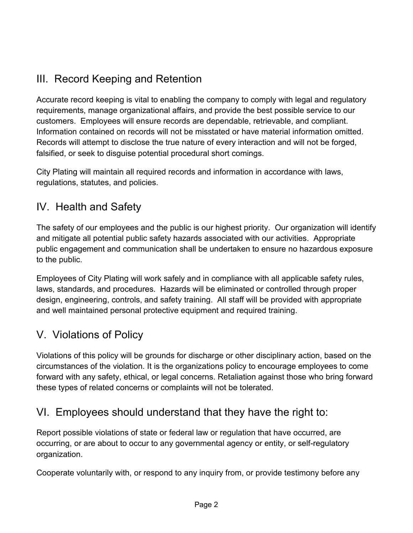# III. Record Keeping and Retention

Accurate record keeping is vital to enabling the company to comply with legal and regulatory requirements, manage organizational affairs, and provide the best possible service to our customers. Employees will ensure records are dependable, retrievable, and compliant. Information contained on records will not be misstated or have material information omitted. Records will attempt to disclose the true nature of every interaction and will not be forged, falsified, or seek to disguise potential procedural short comings.

City Plating will maintain all required records and information in accordance with laws, regulations, statutes, and policies.

#### IV. Health and Safety

The safety of our employees and the public is our highest priority. Our organization will identify and mitigate all potential public safety hazards associated with our activities. Appropriate public engagement and communication shall be undertaken to ensure no hazardous exposure to the public.

Employees of City Plating will work safely and in compliance with all applicable safety rules, laws, standards, and procedures. Hazards will be eliminated or controlled through proper design, engineering, controls, and safety training. All staff will be provided with appropriate and well maintained personal protective equipment and required training.

## V. Violations of Policy

Violations of this policy will be grounds for discharge or other disciplinary action, based on the circumstances of the violation. It is the organizations policy to encourage employees to come forward with any safety, ethical, or legal concerns. Retaliation against those who bring forward these types of related concerns or complaints will not be tolerated.

## VI. Employees should understand that they have the right to:

Report possible violations of state or federal law or regulation that have occurred, are occurring, or are about to occur to any governmental agency or entity, or self-regulatory organization.

Cooperate voluntarily with, or respond to any inquiry from, or provide testimony before any